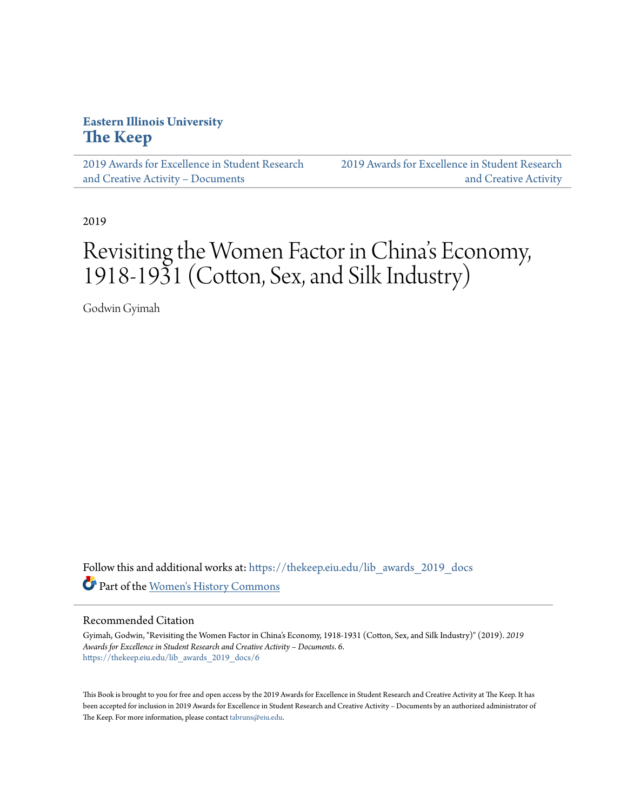## **Eastern Illinois University [The Keep](https://thekeep.eiu.edu?utm_source=thekeep.eiu.edu%2Flib_awards_2019_docs%2F6&utm_medium=PDF&utm_campaign=PDFCoverPages)**

[2019 Awards for Excellence in Student Research](https://thekeep.eiu.edu/lib_awards_2019_docs?utm_source=thekeep.eiu.edu%2Flib_awards_2019_docs%2F6&utm_medium=PDF&utm_campaign=PDFCoverPages) [and Creative Activity – Documents](https://thekeep.eiu.edu/lib_awards_2019_docs?utm_source=thekeep.eiu.edu%2Flib_awards_2019_docs%2F6&utm_medium=PDF&utm_campaign=PDFCoverPages)

[2019 Awards for Excellence in Student Research](https://thekeep.eiu.edu/lib_awards_2019?utm_source=thekeep.eiu.edu%2Flib_awards_2019_docs%2F6&utm_medium=PDF&utm_campaign=PDFCoverPages) [and Creative Activity](https://thekeep.eiu.edu/lib_awards_2019?utm_source=thekeep.eiu.edu%2Flib_awards_2019_docs%2F6&utm_medium=PDF&utm_campaign=PDFCoverPages)

2019

# Revisiting the Women Factor in China 's Economy, 1918-1931 (Cotton, Sex, and Silk Industry)

Godwin Gyimah

Follow this and additional works at: [https://thekeep.eiu.edu/lib\\_awards\\_2019\\_docs](https://thekeep.eiu.edu/lib_awards_2019_docs?utm_source=thekeep.eiu.edu%2Flib_awards_2019_docs%2F6&utm_medium=PDF&utm_campaign=PDFCoverPages) Part of the [Women's History Commons](http://network.bepress.com/hgg/discipline/507?utm_source=thekeep.eiu.edu%2Flib_awards_2019_docs%2F6&utm_medium=PDF&utm_campaign=PDFCoverPages)

#### Recommended Citation

Gyimah, Godwin, "Revisiting the Women Factor in China's Economy, 1918-1931 (Cotton, Sex, and Silk Industry)" (2019). *2019 Awards for Excellence in Student Research and Creative Activity – Documents*. 6. [https://thekeep.eiu.edu/lib\\_awards\\_2019\\_docs/6](https://thekeep.eiu.edu/lib_awards_2019_docs/6?utm_source=thekeep.eiu.edu%2Flib_awards_2019_docs%2F6&utm_medium=PDF&utm_campaign=PDFCoverPages)

This Book is brought to you for free and open access by the 2019 Awards for Excellence in Student Research and Creative Activity at The Keep. It has been accepted for inclusion in 2019 Awards for Excellence in Student Research and Creative Activity – Documents by an authorized administrator of The Keep. For more information, please contact [tabruns@eiu.edu.](mailto:tabruns@eiu.edu)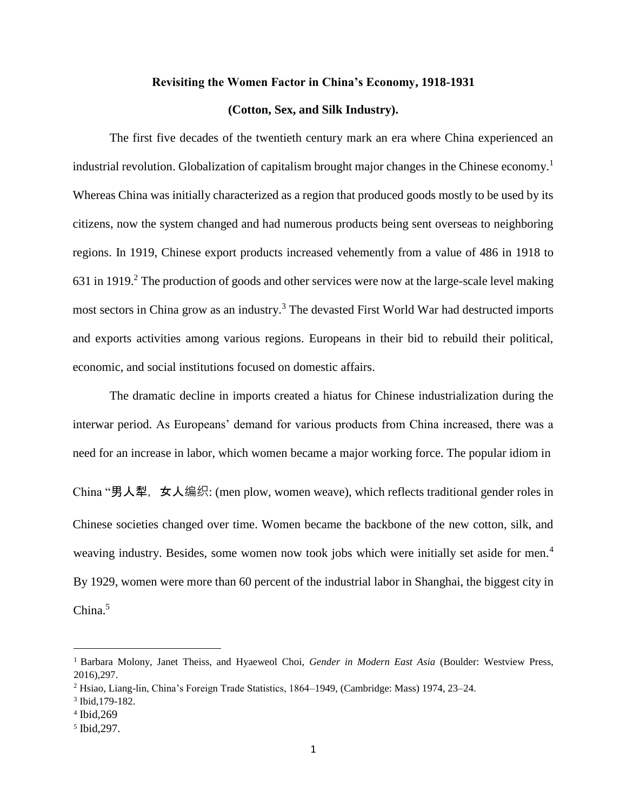#### **Revisiting the Women Factor in China's Economy, 1918-1931**

### **(Cotton, Sex, and Silk Industry).**

The first five decades of the twentieth century mark an era where China experienced an industrial revolution. Globalization of capitalism brought major changes in the Chinese economy.<sup>1</sup> Whereas China was initially characterized as a region that produced goods mostly to be used by its citizens, now the system changed and had numerous products being sent overseas to neighboring regions. In 1919, Chinese export products increased vehemently from a value of 486 in 1918 to 631 in 1919.<sup>2</sup> The production of goods and other services were now at the large-scale level making most sectors in China grow as an industry.<sup>3</sup> The devasted First World War had destructed imports and exports activities among various regions. Europeans in their bid to rebuild their political, economic, and social institutions focused on domestic affairs.

The dramatic decline in imports created a hiatus for Chinese industrialization during the interwar period. As Europeans' demand for various products from China increased, there was a need for an increase in labor, which women became a major working force. The popular idiom in China "男人犁, 女人编织: (men plow, women weave), which reflects traditional gender roles in Chinese societies changed over time. Women became the backbone of the new cotton, silk, and weaving industry. Besides, some women now took jobs which were initially set aside for men.<sup>4</sup> By 1929, women were more than 60 percent of the industrial labor in Shanghai, the biggest city in China.<sup>5</sup>

<sup>1</sup> Barbara Molony, Janet Theiss, and Hyaeweol Choi, *Gender in Modern East Asia* (Boulder: Westview Press, 2016),297.

<sup>2</sup> Hsiao, Liang-lin, China's Foreign Trade Statistics, 1864–1949, (Cambridge: Mass) 1974, 23–24.

<sup>3</sup> Ibid,179-182.

<sup>4</sup> Ibid*,*269

<sup>5</sup> Ibid,297.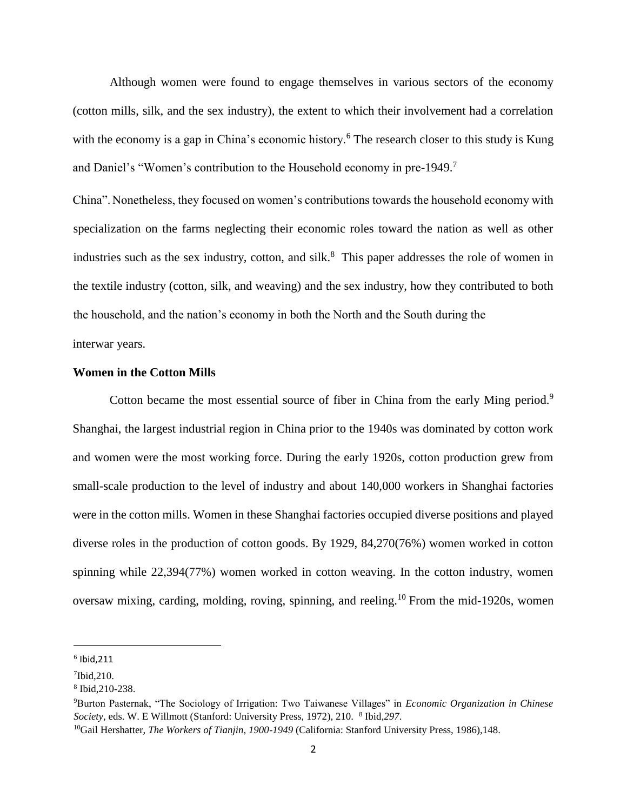Although women were found to engage themselves in various sectors of the economy (cotton mills, silk, and the sex industry), the extent to which their involvement had a correlation with the economy is a gap in China's economic history.<sup>6</sup> The research closer to this study is Kung and Daniel's "Women's contribution to the Household economy in pre-1949. 7

China".Nonetheless, they focused on women's contributions towards the household economy with specialization on the farms neglecting their economic roles toward the nation as well as other industries such as the sex industry, cotton, and silk.<sup>8</sup> This paper addresses the role of women in the textile industry (cotton, silk, and weaving) and the sex industry, how they contributed to both the household, and the nation's economy in both the North and the South during the interwar years.

#### **Women in the Cotton Mills**

Cotton became the most essential source of fiber in China from the early Ming period.<sup>9</sup> Shanghai, the largest industrial region in China prior to the 1940s was dominated by cotton work and women were the most working force. During the early 1920s, cotton production grew from small-scale production to the level of industry and about 140,000 workers in Shanghai factories were in the cotton mills. Women in these Shanghai factories occupied diverse positions and played diverse roles in the production of cotton goods. By 1929, 84,270(76%) women worked in cotton spinning while 22,394(77%) women worked in cotton weaving. In the cotton industry, women oversaw mixing, carding, molding, roving, spinning, and reeling.<sup>10</sup> From the mid-1920s, women

 $^6$  Ibid,211

<sup>7</sup> Ibid,210.

<sup>8</sup> Ibid,210-238.

<sup>9</sup>Burton Pasternak, "The Sociology of Irrigation: Two Taiwanese Villages" in *Economic Organization in Chinese*  Society, eds. W. E Willmott (Stanford: University Press, 1972), 210. <sup>8</sup> Ibid, 297.

<sup>10</sup>Gail Hershatter, *The Workers of Tianjin, 1900-1949* (California: Stanford University Press, 1986),148.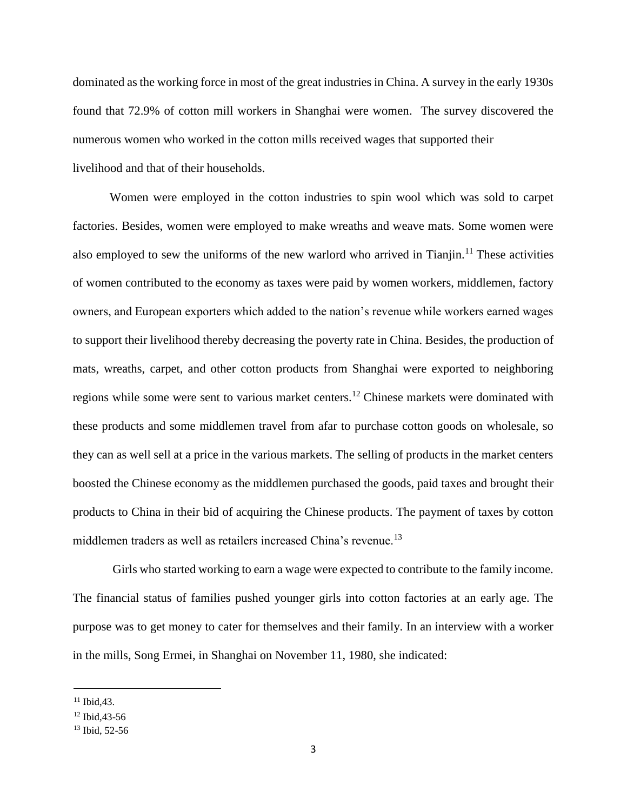dominated as the working force in most of the great industries in China. A survey in the early 1930s found that 72.9% of cotton mill workers in Shanghai were women. The survey discovered the numerous women who worked in the cotton mills received wages that supported their livelihood and that of their households.

Women were employed in the cotton industries to spin wool which was sold to carpet factories. Besides, women were employed to make wreaths and weave mats. Some women were also employed to sew the uniforms of the new warlord who arrived in Tianjin.<sup>11</sup> These activities of women contributed to the economy as taxes were paid by women workers, middlemen, factory owners, and European exporters which added to the nation's revenue while workers earned wages to support their livelihood thereby decreasing the poverty rate in China. Besides, the production of mats, wreaths, carpet, and other cotton products from Shanghai were exported to neighboring regions while some were sent to various market centers.<sup>12</sup> Chinese markets were dominated with these products and some middlemen travel from afar to purchase cotton goods on wholesale, so they can as well sell at a price in the various markets. The selling of products in the market centers boosted the Chinese economy as the middlemen purchased the goods, paid taxes and brought their products to China in their bid of acquiring the Chinese products. The payment of taxes by cotton middlemen traders as well as retailers increased China's revenue.<sup>13</sup>

Girls who started working to earn a wage were expected to contribute to the family income. The financial status of families pushed younger girls into cotton factories at an early age. The purpose was to get money to cater for themselves and their family. In an interview with a worker in the mills, Song Ermei, in Shanghai on November 11, 1980, she indicated:

 $11$  Ibid, 43.

<sup>12</sup> Ibid,43-56

<sup>13</sup> Ibid, 52-56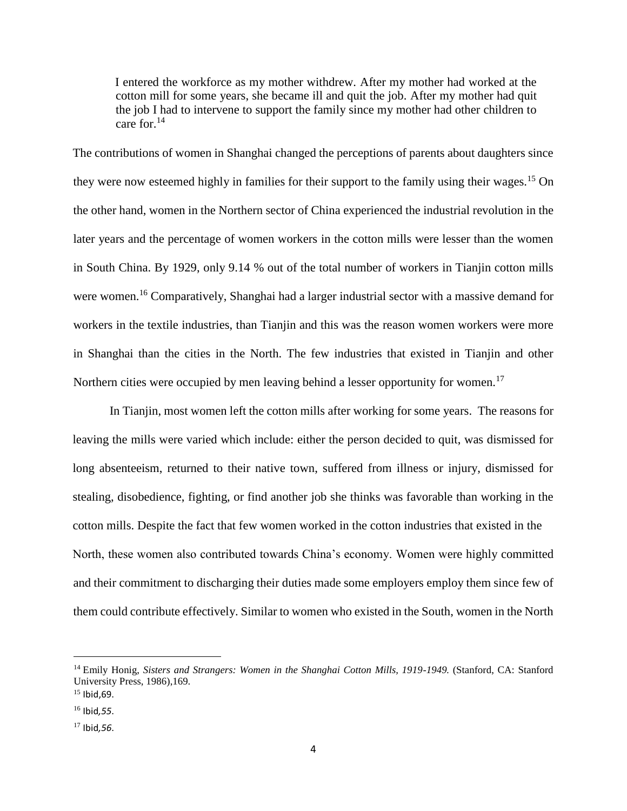I entered the workforce as my mother withdrew. After my mother had worked at the cotton mill for some years, she became ill and quit the job. After my mother had quit the job I had to intervene to support the family since my mother had other children to care for.<sup>14</sup>

The contributions of women in Shanghai changed the perceptions of parents about daughters since they were now esteemed highly in families for their support to the family using their wages.<sup>15</sup> On the other hand, women in the Northern sector of China experienced the industrial revolution in the later years and the percentage of women workers in the cotton mills were lesser than the women in South China. By 1929, only 9.14 % out of the total number of workers in Tianjin cotton mills were women.<sup>16</sup> Comparatively, Shanghai had a larger industrial sector with a massive demand for workers in the textile industries, than Tianjin and this was the reason women workers were more in Shanghai than the cities in the North. The few industries that existed in Tianjin and other Northern cities were occupied by men leaving behind a lesser opportunity for women.<sup>17</sup>

In Tianjin, most women left the cotton mills after working for some years. The reasons for leaving the mills were varied which include: either the person decided to quit, was dismissed for long absenteeism, returned to their native town, suffered from illness or injury, dismissed for stealing, disobedience, fighting, or find another job she thinks was favorable than working in the cotton mills. Despite the fact that few women worked in the cotton industries that existed in the North, these women also contributed towards China's economy. Women were highly committed and their commitment to discharging their duties made some employers employ them since few of them could contribute effectively. Similar to women who existed in the South, women in the North

<sup>14</sup> Emily Honig, *Sisters and Strangers: Women in the Shanghai Cotton Mills, 1919-1949.* (Stanford, CA: Stanford University Press, 1986),169.

 $15$  Ibid.69.

<sup>16</sup> Ibid*,55*.

<sup>17</sup> Ibid*,56*.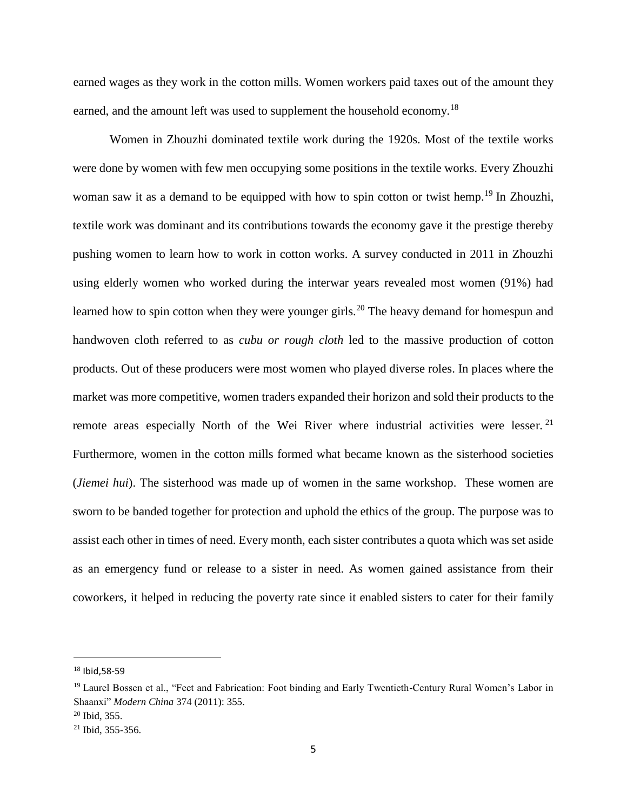earned wages as they work in the cotton mills. Women workers paid taxes out of the amount they earned, and the amount left was used to supplement the household economy.<sup>18</sup>

Women in Zhouzhi dominated textile work during the 1920s. Most of the textile works were done by women with few men occupying some positions in the textile works. Every Zhouzhi woman saw it as a demand to be equipped with how to spin cotton or twist hemp.<sup>19</sup> In Zhouzhi, textile work was dominant and its contributions towards the economy gave it the prestige thereby pushing women to learn how to work in cotton works. A survey conducted in 2011 in Zhouzhi using elderly women who worked during the interwar years revealed most women (91%) had learned how to spin cotton when they were younger girls.<sup>20</sup> The heavy demand for homespun and handwoven cloth referred to as *cubu or rough cloth* led to the massive production of cotton products. Out of these producers were most women who played diverse roles. In places where the market was more competitive, women traders expanded their horizon and sold their products to the remote areas especially North of the Wei River where industrial activities were lesser.<sup>21</sup> Furthermore, women in the cotton mills formed what became known as the sisterhood societies (*Jiemei hui*). The sisterhood was made up of women in the same workshop. These women are sworn to be banded together for protection and uphold the ethics of the group. The purpose was to assist each other in times of need. Every month, each sister contributes a quota which was set aside as an emergency fund or release to a sister in need. As women gained assistance from their coworkers, it helped in reducing the poverty rate since it enabled sisters to cater for their family

<sup>18</sup> Ibid,58-59

<sup>&</sup>lt;sup>19</sup> Laurel Bossen et al., "Feet and Fabrication: Foot binding and Early Twentieth-Century Rural Women's Labor in Shaanxi" *Modern China* 374 (2011): 355.

 $20$  Ibid, 355.

<sup>21</sup> Ibid, 355-356.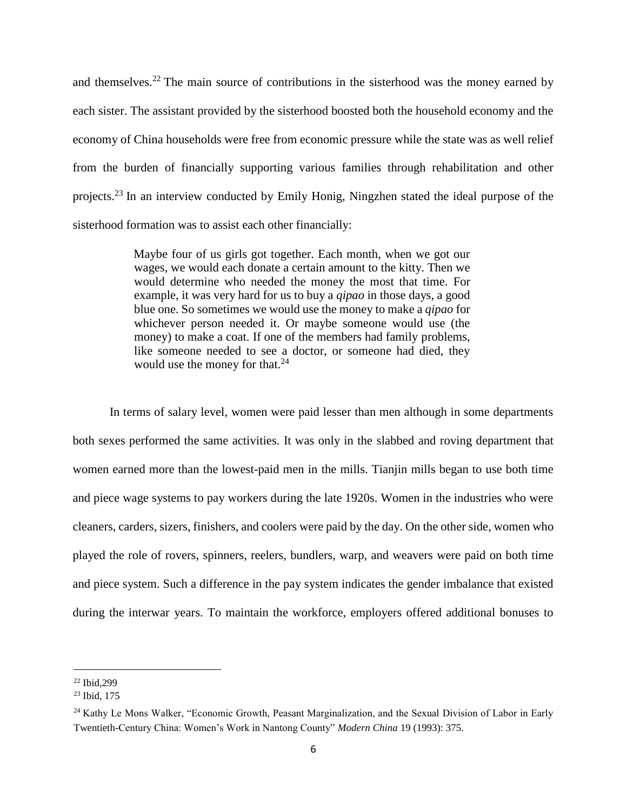and themselves.<sup>22</sup> The main source of contributions in the sisterhood was the money earned by each sister. The assistant provided by the sisterhood boosted both the household economy and the economy of China households were free from economic pressure while the state was as well relief from the burden of financially supporting various families through rehabilitation and other projects.<sup>23</sup> In an interview conducted by Emily Honig, Ningzhen stated the ideal purpose of the sisterhood formation was to assist each other financially:

> Maybe four of us girls got together. Each month, when we got our wages, we would each donate a certain amount to the kitty. Then we would determine who needed the money the most that time. For example, it was very hard for us to buy a *qipao* in those days, a good blue one. So sometimes we would use the money to make a *qipao* for whichever person needed it. Or maybe someone would use (the money) to make a coat. If one of the members had family problems, like someone needed to see a doctor, or someone had died, they would use the money for that.<sup>24</sup>

In terms of salary level, women were paid lesser than men although in some departments both sexes performed the same activities. It was only in the slabbed and roving department that women earned more than the lowest-paid men in the mills. Tianjin mills began to use both time and piece wage systems to pay workers during the late 1920s. Women in the industries who were cleaners, carders, sizers, finishers, and coolers were paid by the day. On the other side, women who played the role of rovers, spinners, reelers, bundlers, warp, and weavers were paid on both time and piece system. Such a difference in the pay system indicates the gender imbalance that existed during the interwar years. To maintain the workforce, employers offered additional bonuses to

<sup>22</sup> Ibid,299

<sup>23</sup> Ibid, 175

<sup>&</sup>lt;sup>24</sup> Kathy Le Mons Walker, "Economic Growth, Peasant Marginalization, and the Sexual Division of Labor in Early Twentieth-Century China: Women's Work in Nantong County" *Modern China* 19 (1993): 375.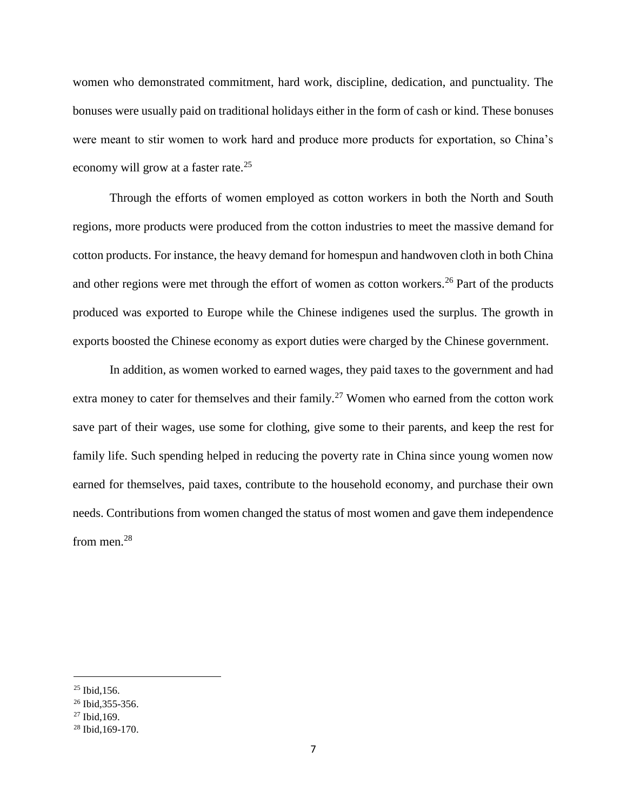women who demonstrated commitment, hard work, discipline, dedication, and punctuality. The bonuses were usually paid on traditional holidays either in the form of cash or kind. These bonuses were meant to stir women to work hard and produce more products for exportation, so China's economy will grow at a faster rate.<sup>25</sup>

Through the efforts of women employed as cotton workers in both the North and South regions, more products were produced from the cotton industries to meet the massive demand for cotton products. For instance, the heavy demand for homespun and handwoven cloth in both China and other regions were met through the effort of women as cotton workers.<sup>26</sup> Part of the products produced was exported to Europe while the Chinese indigenes used the surplus. The growth in exports boosted the Chinese economy as export duties were charged by the Chinese government.

In addition, as women worked to earned wages, they paid taxes to the government and had extra money to cater for themselves and their family.<sup>27</sup> Women who earned from the cotton work save part of their wages, use some for clothing, give some to their parents, and keep the rest for family life. Such spending helped in reducing the poverty rate in China since young women now earned for themselves, paid taxes, contribute to the household economy, and purchase their own needs. Contributions from women changed the status of most women and gave them independence from men.<sup>28</sup>

<sup>25</sup> Ibid,156.

<sup>26</sup> Ibid,355-356.

 $27$  Ibid, 169.

<sup>28</sup> Ibid,169-170.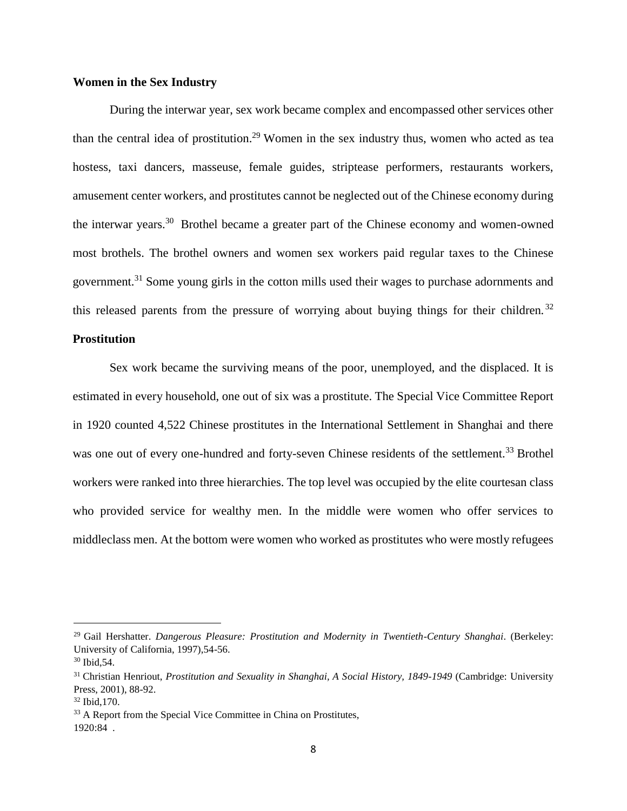## **Women in the Sex Industry**

During the interwar year, sex work became complex and encompassed other services other than the central idea of prostitution.<sup>29</sup> Women in the sex industry thus, women who acted as tea hostess, taxi dancers, masseuse, female guides, striptease performers, restaurants workers, amusement center workers, and prostitutes cannot be neglected out of the Chinese economy during the interwar years.<sup>30</sup> Brothel became a greater part of the Chinese economy and women-owned most brothels. The brothel owners and women sex workers paid regular taxes to the Chinese government.<sup>31</sup> Some young girls in the cotton mills used their wages to purchase adornments and this released parents from the pressure of worrying about buying things for their children.<sup>32</sup>

## **Prostitution**

Sex work became the surviving means of the poor, unemployed, and the displaced. It is estimated in every household, one out of six was a prostitute. The Special Vice Committee Report in 1920 counted 4,522 Chinese prostitutes in the International Settlement in Shanghai and there was one out of every one-hundred and forty-seven Chinese residents of the settlement.<sup>33</sup> Brothel workers were ranked into three hierarchies. The top level was occupied by the elite courtesan class who provided service for wealthy men. In the middle were women who offer services to middleclass men. At the bottom were women who worked as prostitutes who were mostly refugees

<sup>29</sup> Gail Hershatter. *Dangerous Pleasure: Prostitution and Modernity in Twentieth-Century Shanghai*. (Berkeley: University of California, 1997),54-56.

<sup>30</sup> Ibid,54.

<sup>31</sup> Christian Henriout, *Prostitution and Sexuality in Shanghai, A Social History, 1849-1949* (Cambridge: University Press, 2001), 88-92.

<sup>32</sup> Ibid,170.

<sup>&</sup>lt;sup>33</sup> A Report from the Special Vice Committee in China on Prostitutes, 1920:84 .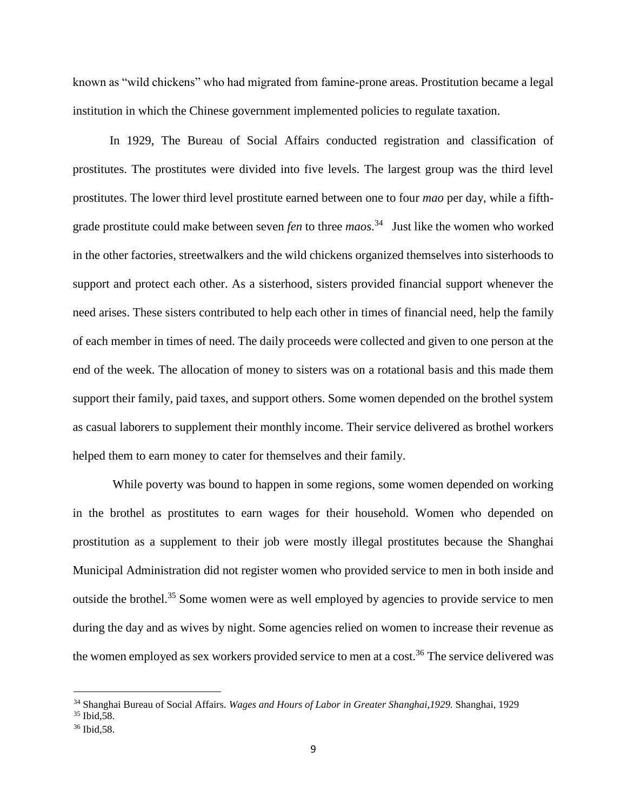known as "wild chickens" who had migrated from famine-prone areas. Prostitution became a legal institution in which the Chinese government implemented policies to regulate taxation.

In 1929, The Bureau of Social Affairs conducted registration and classification of prostitutes. The prostitutes were divided into five levels. The largest group was the third level prostitutes. The lower third level prostitute earned between one to four *mao* per day, while a fifthgrade prostitute could make between seven *fen* to three *maos*. 34 Just like the women who worked in the other factories, streetwalkers and the wild chickens organized themselves into sisterhoods to support and protect each other. As a sisterhood, sisters provided financial support whenever the need arises. These sisters contributed to help each other in times of financial need, help the family of each member in times of need. The daily proceeds were collected and given to one person at the end of the week. The allocation of money to sisters was on a rotational basis and this made them support their family, paid taxes, and support others. Some women depended on the brothel system as casual laborers to supplement their monthly income. Their service delivered as brothel workers helped them to earn money to cater for themselves and their family.

While poverty was bound to happen in some regions, some women depended on working in the brothel as prostitutes to earn wages for their household. Women who depended on prostitution as a supplement to their job were mostly illegal prostitutes because the Shanghai Municipal Administration did not register women who provided service to men in both inside and outside the brothel.<sup>35</sup> Some women were as well employed by agencies to provide service to men during the day and as wives by night. Some agencies relied on women to increase their revenue as the women employed as sex workers provided service to men at a cost.<sup>36</sup> The service delivered was

<sup>34</sup> Shanghai Bureau of Social Affairs. *Wages and Hours of Labor in Greater Shanghai,1929.* Shanghai, 1929

 $35$  Ibid,  $58$ .

<sup>36</sup> Ibid,58.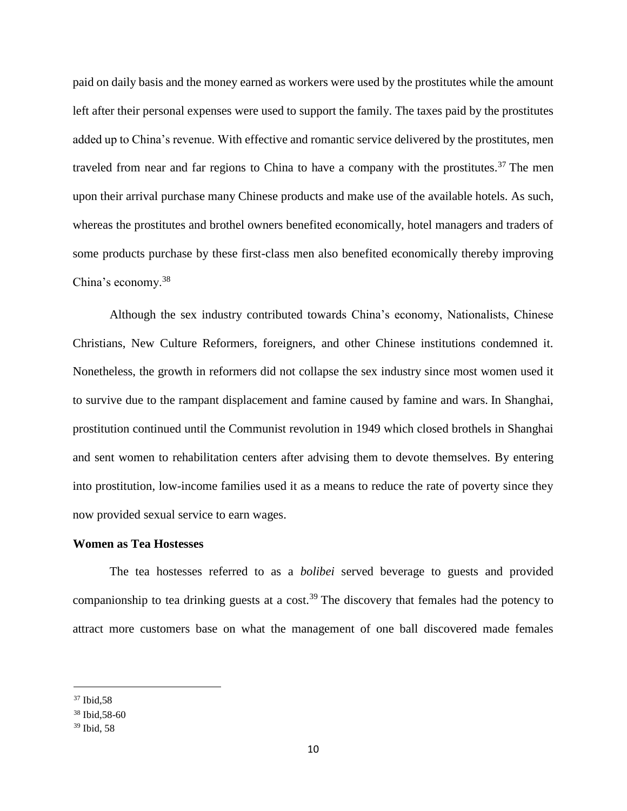paid on daily basis and the money earned as workers were used by the prostitutes while the amount left after their personal expenses were used to support the family. The taxes paid by the prostitutes added up to China's revenue. With effective and romantic service delivered by the prostitutes, men traveled from near and far regions to China to have a company with the prostitutes.<sup>37</sup> The men upon their arrival purchase many Chinese products and make use of the available hotels. As such, whereas the prostitutes and brothel owners benefited economically, hotel managers and traders of some products purchase by these first-class men also benefited economically thereby improving China's economy.<sup>38</sup>

Although the sex industry contributed towards China's economy, Nationalists, Chinese Christians, New Culture Reformers, foreigners, and other Chinese institutions condemned it. Nonetheless, the growth in reformers did not collapse the sex industry since most women used it to survive due to the rampant displacement and famine caused by famine and wars. In Shanghai, prostitution continued until the Communist revolution in 1949 which closed brothels in Shanghai and sent women to rehabilitation centers after advising them to devote themselves. By entering into prostitution, low-income families used it as a means to reduce the rate of poverty since they now provided sexual service to earn wages.

## **Women as Tea Hostesses**

The tea hostesses referred to as a *bolibei* served beverage to guests and provided companionship to tea drinking guests at a cost.<sup>39</sup> The discovery that females had the potency to attract more customers base on what the management of one ball discovered made females

<sup>37</sup> Ibid,58

<sup>38</sup> Ibid,58-60

<sup>39</sup> Ibid, 58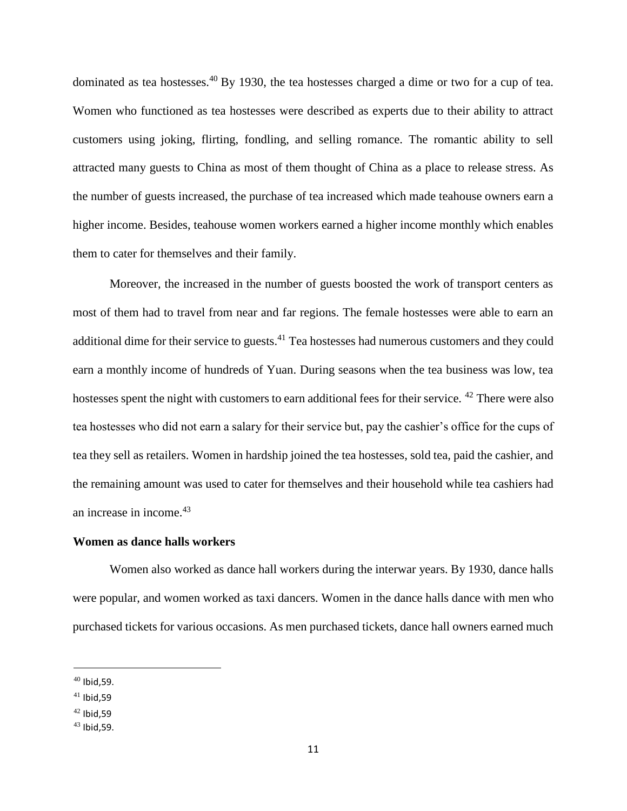dominated as tea hostesses.<sup>40</sup> By 1930, the tea hostesses charged a dime or two for a cup of tea. Women who functioned as tea hostesses were described as experts due to their ability to attract customers using joking, flirting, fondling, and selling romance. The romantic ability to sell attracted many guests to China as most of them thought of China as a place to release stress. As the number of guests increased, the purchase of tea increased which made teahouse owners earn a higher income. Besides, teahouse women workers earned a higher income monthly which enables them to cater for themselves and their family.

Moreover, the increased in the number of guests boosted the work of transport centers as most of them had to travel from near and far regions. The female hostesses were able to earn an additional dime for their service to guests.<sup>41</sup> Tea hostesses had numerous customers and they could earn a monthly income of hundreds of Yuan. During seasons when the tea business was low, tea hostesses spent the night with customers to earn additional fees for their service. <sup>42</sup> There were also tea hostesses who did not earn a salary for their service but, pay the cashier's office for the cups of tea they sell as retailers. Women in hardship joined the tea hostesses, sold tea, paid the cashier, and the remaining amount was used to cater for themselves and their household while tea cashiers had an increase in income.<sup>43</sup>

## **Women as dance halls workers**

Women also worked as dance hall workers during the interwar years. By 1930, dance halls were popular, and women worked as taxi dancers. Women in the dance halls dance with men who purchased tickets for various occasions. As men purchased tickets, dance hall owners earned much

 $40$  Ibid.59.

 $41$  Ibid, 59

 $42$  Ibid.59

<sup>43</sup> Ibid,59.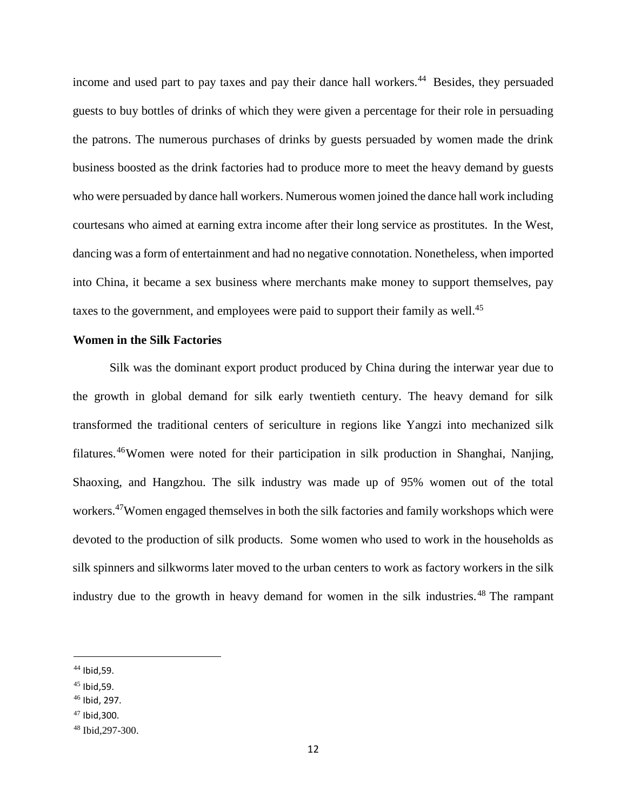income and used part to pay taxes and pay their dance hall workers.<sup>44</sup> Besides, they persuaded guests to buy bottles of drinks of which they were given a percentage for their role in persuading the patrons. The numerous purchases of drinks by guests persuaded by women made the drink business boosted as the drink factories had to produce more to meet the heavy demand by guests who were persuaded by dance hall workers. Numerous women joined the dance hall work including courtesans who aimed at earning extra income after their long service as prostitutes. In the West, dancing was a form of entertainment and had no negative connotation. Nonetheless, when imported into China, it became a sex business where merchants make money to support themselves, pay taxes to the government, and employees were paid to support their family as well. $45$ 

## **Women in the Silk Factories**

Silk was the dominant export product produced by China during the interwar year due to the growth in global demand for silk early twentieth century. The heavy demand for silk transformed the traditional centers of sericulture in regions like Yangzi into mechanized silk filatures.<sup>46</sup>Women were noted for their participation in silk production in Shanghai, [Nanjing,](https://www.chinahighlights.com/nanjing/) [Shaoxing,](https://www.chinahighlights.com/shaoxing/) [a](https://www.chinahighlights.com/shaoxing/)nd Hangzhou. The silk industry was made up of 95% women out of the total workers.<sup>47</sup>Women engaged themselves in both the silk factories and family workshops which were devoted to the production of silk products. Some women who used to work in the households as silk spinners and silkworms later moved to the urban centers to work as factory workers in the silk industry due to the growth in heavy demand for women in the silk industries.<sup>48</sup> The rampant

 $\overline{a}$ 

<sup>47</sup> Ibid,300.

<sup>44</sup> Ibid,59.

 $45$  Ibid, 59.

 $46$  Ibid, 297.

<sup>48</sup> Ibid,297-300.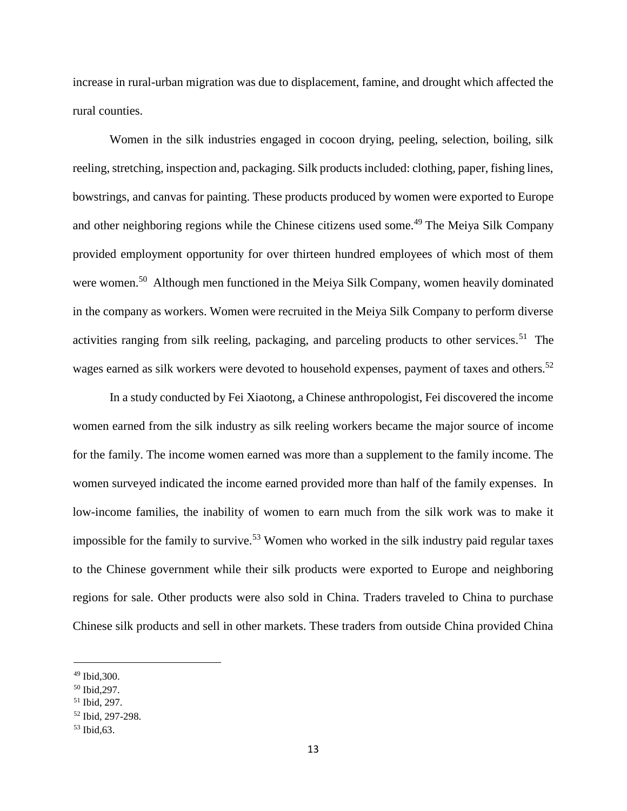increase in rural-urban migration was due to displacement, famine, and drought which affected the rural counties.

Women in the silk industries engaged in cocoon drying, peeling, selection, boiling, silk reeling, stretching, inspection and, packaging. Silk products included: clothing, paper, fishing lines, bowstrings, and canvas for painting. These products produced by women were exported to Europe and other neighboring regions while the Chinese citizens used some.<sup>49</sup> The Meiya Silk Company provided employment opportunity for over thirteen hundred employees of which most of them were women.<sup>50</sup> Although men functioned in the Meiya Silk Company, women heavily dominated in the company as workers. Women were recruited in the Meiya Silk Company to perform diverse activities ranging from silk reeling, packaging, and parceling products to other services.<sup>51</sup> The wages earned as silk workers were devoted to household expenses, payment of taxes and others.<sup>52</sup>

In a study conducted by Fei Xiaotong, a Chinese anthropologist, Fei discovered the income women earned from the silk industry as silk reeling workers became the major source of income for the family. The income women earned was more than a supplement to the family income. The women surveyed indicated the income earned provided more than half of the family expenses. In low-income families, the inability of women to earn much from the silk work was to make it impossible for the family to survive.<sup>53</sup> Women who worked in the silk industry paid regular taxes to the Chinese government while their silk products were exported to Europe and neighboring regions for sale. Other products were also sold in China. Traders traveled to China to purchase Chinese silk products and sell in other markets. These traders from outside China provided China

<sup>49</sup> Ibid,300.

<sup>50</sup> Ibid,297.

<sup>51</sup> Ibid, 297.

<sup>52</sup> Ibid, 297-298.

<sup>53</sup> Ibid*,*63.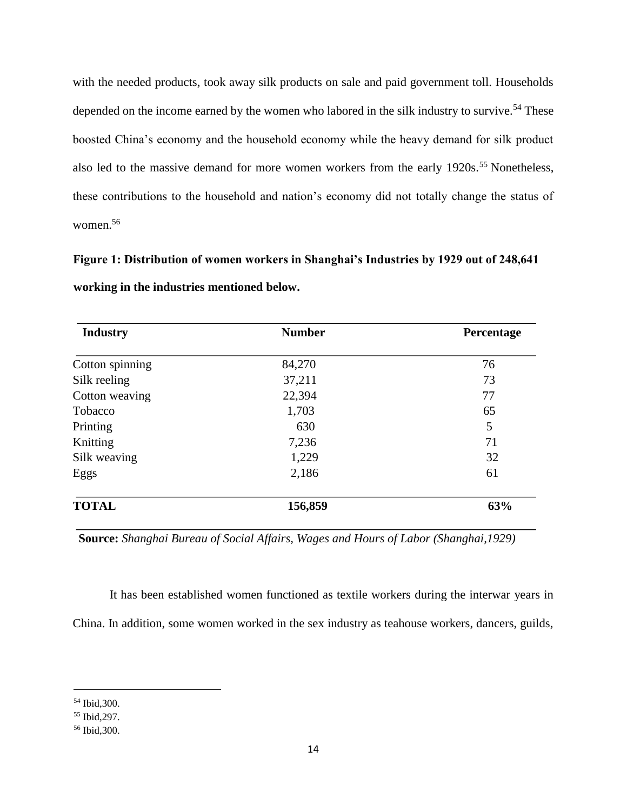with the needed products, took away silk products on sale and paid government toll. Households depended on the income earned by the women who labored in the silk industry to survive.<sup>54</sup> These boosted China's economy and the household economy while the heavy demand for silk product also led to the massive demand for more women workers from the early 1920s.<sup>55</sup> Nonetheless, these contributions to the household and nation's economy did not totally change the status of women.<sup>56</sup>

**Figure 1: Distribution of women workers in Shanghai's Industries by 1929 out of 248,641 working in the industries mentioned below.** 

| <b>Industry</b> | <b>Number</b> | Percentage |
|-----------------|---------------|------------|
| Cotton spinning | 84,270        | 76         |
| Silk reeling    | 37,211        | 73         |
| Cotton weaving  | 22,394        | 77         |
| Tobacco         | 1,703         | 65         |
| Printing        | 630           | 5          |
| Knitting        | 7,236         | 71         |
| Silk weaving    | 1,229         | 32         |
| Eggs            | 2,186         | 61         |
| <b>TOTAL</b>    | 156,859       | 63%        |

**Source:** *Shanghai Bureau of Social Affairs, Wages and Hours of Labor (Shanghai,1929)*

It has been established women functioned as textile workers during the interwar years in China. In addition, some women worked in the sex industry as teahouse workers, dancers, guilds,

<sup>54</sup> Ibid,300.

<sup>55</sup> Ibid,297.

<sup>56</sup> Ibid,300.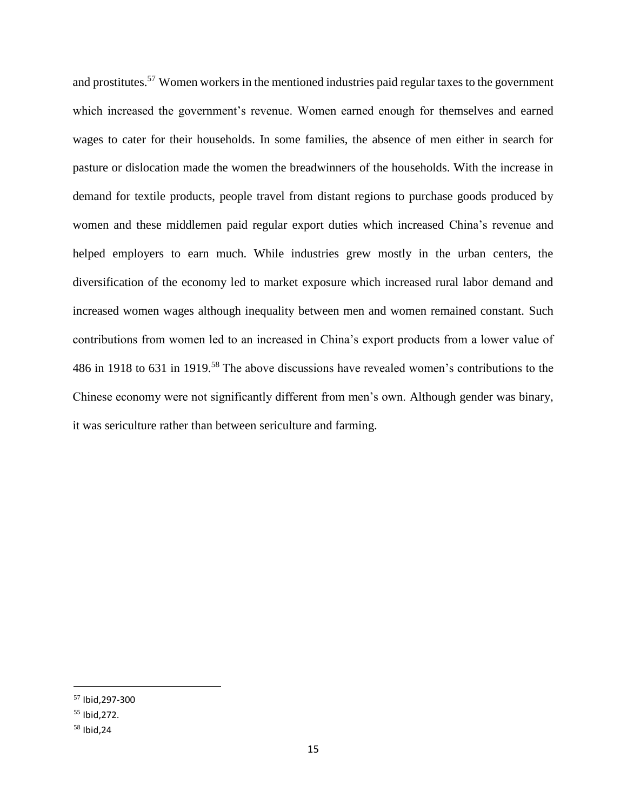and prostitutes.<sup>57</sup> Women workers in the mentioned industries paid regular taxes to the government which increased the government's revenue. Women earned enough for themselves and earned wages to cater for their households. In some families, the absence of men either in search for pasture or dislocation made the women the breadwinners of the households. With the increase in demand for textile products, people travel from distant regions to purchase goods produced by women and these middlemen paid regular export duties which increased China's revenue and helped employers to earn much. While industries grew mostly in the urban centers, the diversification of the economy led to market exposure which increased rural labor demand and increased women wages although inequality between men and women remained constant. Such contributions from women led to an increased in China's export products from a lower value of 486 in 1918 to 631 in 1919.<sup>58</sup> The above discussions have revealed women's contributions to the Chinese economy were not significantly different from men's own. Although gender was binary, it was sericulture rather than between sericulture and farming.

<sup>57</sup> Ibid,297-300

 $55$  Ibid.272.

<sup>58</sup> Ibid,24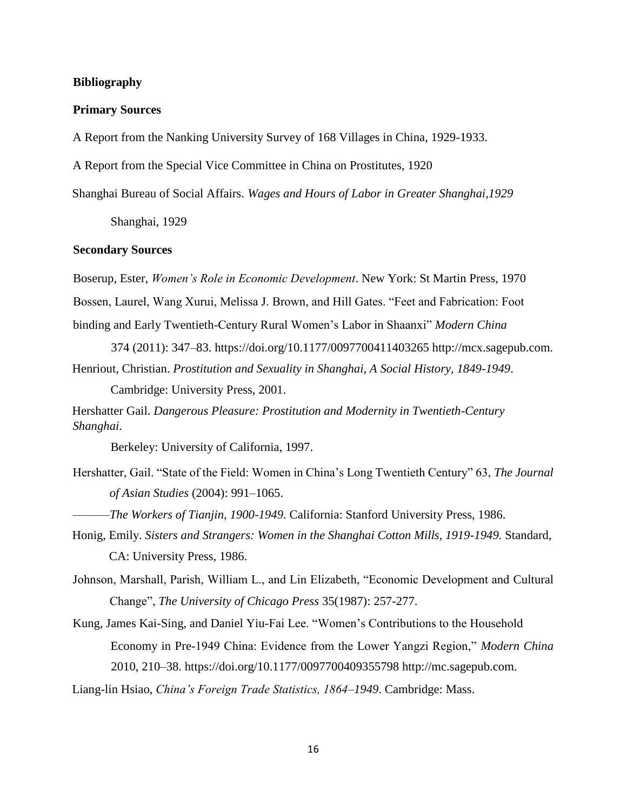### **Bibliography**

#### **Primary Sources**

A Report from the Nanking University Survey of 168 Villages in China, 1929-1933.

A Report from the Special Vice Committee in China on Prostitutes, 1920

Shanghai Bureau of Social Affairs. *Wages and Hours of Labor in Greater Shanghai,1929*

Shanghai, 1929

## **Secondary Sources**

Boserup, Ester, *Women's Role in Economic Development*. New York: St Martin Press, 1970 Bossen, Laurel, Wang Xurui, Melissa J. Brown, and Hill Gates. "Feet and Fabrication: Foot binding and Early Twentieth-Century Rural Women's Labor in Shaanxi" *Modern China*

374 (2011): 347–83. https://doi.org/10.1177/0097700411403265 http://mcx.sagepub.com. Henriout, Christian. *Prostitution and Sexuality in Shanghai, A Social History, 1849-1949*.

Cambridge: University Press, 2001.

Hershatter Gail. *Dangerous Pleasure: Prostitution and Modernity in Twentieth-Century Shanghai*.

Berkeley: University of California, 1997.

- Hershatter, Gail. "State of the Field: Women in China's Long Twentieth Century" 63, *The Journal of Asian Studies* (2004): 991–1065.
	- ———*The Workers of Tianjin, 1900-1949*. California: Stanford University Press, 1986.
- Honig, Emily. *Sisters and Strangers: Women in the Shanghai Cotton Mills, 1919-1949.* Standard, CA: University Press, 1986.

Johnson, Marshall, Parish, William L., and Lin Elizabeth, "Economic Development and Cultural Change", *The University of Chicago Press* 35(1987): 257-277.

Kung, James Kai-Sing, and Daniel Yiu-Fai Lee. "Women's Contributions to the Household Economy in Pre-1949 China: Evidence from the Lower Yangzi Region," *Modern China* 2010, 210–38. https://doi.org/10.1177/0097700409355798 http://mc.sagepub.com.

Liang-lin Hsiao, *China's Foreign Trade Statistics, 1864–1949*. Cambridge: Mass.